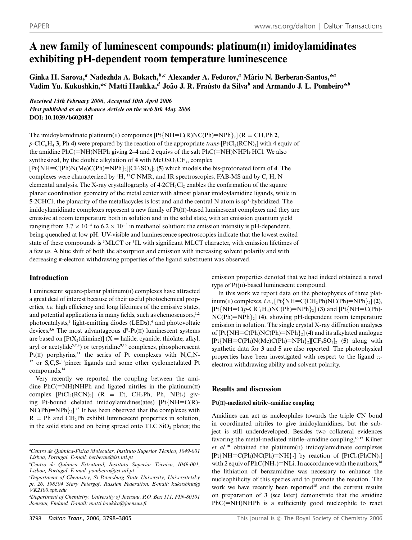# **A new family of luminescent compounds: platinum(II) imidoylamidinates exhibiting pH-dependent room temperature luminescence**

**Ginka H. Sarova,***<sup>a</sup>* **Nadezhda A. Bokach,***<sup>b</sup>,<sup>c</sup>* **Alexander A. Fedorov,***<sup>a</sup>* **Mario N. Berberan-Santos,\* ´** *<sup>a</sup>* **Vadim Yu. Kukushkin,\****<sup>c</sup>* **Matti Haukka,***<sup>d</sup>* **Joao J. R. Fra ˜ usto da Silva ´** *<sup>b</sup>* **and Armando J. L. Pombeiro\****<sup>b</sup>*

## *Received 13th February 2006, Accepted 10th April 2006 First published as an Advance Article on the web 8th May 2006* **DOI: 10.1039/b602083f**

The imidoylamidinate platinum(II) compounds  $[Pt\{NH = C(R)NC(Ph)=NPh\}$   $[$   $(R = CH_2Ph 2,$  $p$ -ClC<sub>6</sub>H<sub>4</sub> 3, Ph 4) were prepared by the reaction of the appropriate *trans*-[PtCl<sub>2</sub>(RCN)<sub>2</sub>] with 4 equiv of the amidine PhC(=NH)NHPh giving **2–4** and 2 equivs of the salt PhC(=NH)NHPh·HCl. We also synthesized, by the double alkylation of  $4$  with  $MeOSO<sub>2</sub>CF<sub>3</sub>$ , complex [Pt{NH=C(Ph)N(Me)C(Ph)=NPh}2][CF3SO3]2 (**5**) which models the bis-protonated form of **4**. The complexes were characterized by  ${}^{1}H$ ,  ${}^{13}C$  NMR, and IR spectroscopies, FAB-MS and by C, H, N elemental analysis. The X-ray crystallography of  $4.2CH<sub>2</sub>Cl<sub>2</sub>$  enables the confirmation of the square planar coordination geometry of the metal center with almost planar imidoylamidine ligands, while in **5** 2CHCl<sub>3</sub> the planarity of the metallacycles is lost and and the central N atom is sp<sup>3</sup>-hybridized. The imidoylamidinate complexes represent a new family of  $Pf(I)$ -based luminescent complexes and they are emissive at room temperature both in solution and in the solid state, with an emission quantum yield ranging from  $3.7 \times 10^{-4}$  to  $6.2 \times 10^{-2}$  in methanol solution; the emission intensity is pH-dependent, being quenched at low pH. UV-visible and luminescence spectroscopies indicate that the lowest excited state of these compounds is <sup>3</sup>MLCT or <sup>3</sup>IL with significant MLCT character, with emission lifetimes of a few ls. A blue shift of both the absorption and emission with increasing solvent polarity and with decreasing  $\pi$ -electron withdrawing properties of the ligand substituent was observed.

## **Introduction**

Luminescent square-planar platinum $(I)$  complexes have attracted a great deal of interest because of their useful photochemical properties, *i.e.* high efficiency and long lifetimes of the emissive states, and potential applications in many fields, such as chemosensors,**1,2** photocatalysts,**<sup>3</sup>** light-emitting diodes (LEDs),**<sup>4</sup>** and photovoltaic devices.<sup>5,6</sup> The most advantageous d<sup>8</sup>-Pt(II) luminescent systems are based on  $[PtX_2(\text{dimine})](X = \text{halide}, \text{cyanide}, \text{thiolate}, \text{alkyl},$ aryl or acetylide**5,7,8**) or terpyridine**9,10** complexes, phosphorescent Pt(II) porphyrins,<sup>11</sup> the series of Pt complexes with N,C,N-**<sup>12</sup>** or S,C,S-**<sup>13</sup>**pincer ligands and some other cyclometalated Pt compounds.**<sup>14</sup>**

Very recently we reported the coupling between the amidine  $PhC(=NH)NHPh$  and ligated nitriles in the platinum(II) complex  $[PtCl_2(RCN)_2]$  (R = Et, CH<sub>2</sub>Ph, Ph, NEt<sub>2</sub>) giving Pt-bound chelated imidoylamidines(ates) [Pt{NH=C(R)-  $NC(Ph)=NPh_{2}$ <sup>15</sup> It has been observed that the complexes with  $R = Ph$  and  $CH<sub>2</sub>Ph$  exhibit luminescent properties in solution, in the solid state and on being spread onto  $TLC$  SiO<sub>2</sub> plates; the emission properties denoted that we had indeed obtained a novel type of Pt(II)-based luminescent compound.

In this work we report data on the photophysics of three plat- $\text{inum(II) complexes}, i.e., [\text{Pt} \{\text{NH}=\text{C}(\text{CH}_2\text{Ph})\text{NC}(\text{Ph})=\text{NPh}\}_2]$  (2),  $[Pt\{NH=C(p-ClC_6H_4)NC(Ph)=NPh\}_2]$  (3) and  $[Pt\{NH=C(Ph)-PH\}]$  $NC(Ph)=NPh$ <sub>2</sub>] (4), showing pH-dependent room temperature emission in solution. The single crystal X-ray diffraction analyses of [Pt{NH=C(Ph)NC(Ph)=NPh}2] (**4**) and its alkylated analogue  $[Pt{NH = C(Ph)N(Me)C(Ph) = NPh}_{2}][CF_{3}SO_{3}]_{2}$  (5) along with synthetic data for **3** and **5** are also reported. The photophysical properties have been investigated with respect to the ligand  $\pi$ electron withdrawing ability and solvent polarity.

## **Results and discussion**

## **Pt(II)-mediated nitrile–amidine coupling**

Amidines can act as nucleophiles towards the triple CN bond in coordinated nitriles to give imidoylamidines, but the subject is still underdeveloped. Besides two collateral evidences favoring the metal-mediated nitrile–amidine coupling,**16,17** Kilner *et al.***<sup>18</sup>** obtained the platinum(II) imidoylamidinate complexes  $[Pt{NH=CC(Ph)NC(Ph)=NH}_{2}]$  by reaction of  $[PtCl_{2}(PhCN)_{2}]$ with 2 equiv of  $PhC(NH<sub>2</sub>)=NLi$ . In accordance with the authors,<sup>18</sup> the lithiation of benzamidine was necessary to enhance the nucleophilicity of this species and to promote the reaction. The work we have recently been reported**<sup>15</sup>** and the current results on preparation of **3** (see later) demonstrate that the amidine PhC(=NH)NHPh is a sufficiently good nucleophile to react

*a Centro de Qu´ımica-F´ısica Molecular, Instituto Superior Tecnico, 1049-001 ´ Lisboa, Portugal. E-mail: berberan@ist.utl.pt*

*b Centro de Qu´ımica Estrutural, Instituto Superior Tecnico, 1049-001, ´ Lisboa, Portugal. E-mail: pombeiro@ist.utl.pt*

*c Department of Chemistry, St.Petersburg State University, Universitetsky pr. 26, 198504 Stary Petergof, Russian Federation. E-mail: kukushkin@ VK2100.spb.edu*

*d Department of Chemistry, University of Joensuu, P.O. Box 111, FIN-80101 Joensuu, Finland. E-mail: matti.haukka@joensuu.fi*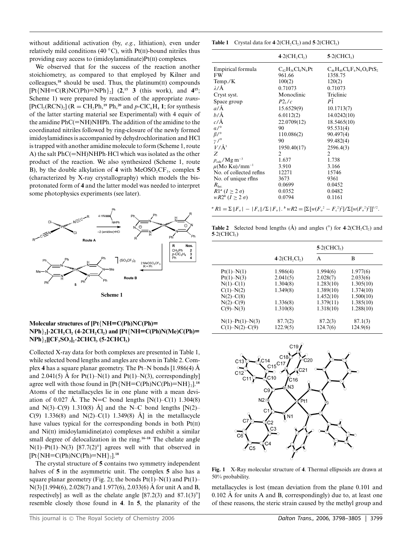without additional activation (by, *e.g.*, lithiation), even under relatively mild conditions (40 *◦*C), with Pt(II)-bound nitriles thus providing easy access to (imidoylamidinate)Pt(II) complexes.

We observed that for the success of the reaction another stoichiometry, as compared to that employed by Kilner and colleagues,**<sup>18</sup>** should be used. Thus, the platinum(II) compounds  $[Pt\{NH = C(R)NC(Ph)=NPh\}_2]$  (2,<sup>15</sup> 3 (this work), and 4<sup>15</sup>; Scheme 1) were prepared by reaction of the appropriate *trans*-  $[PtCl<sub>2</sub>(RCN)<sub>2</sub>]$  ( $R = CH<sub>2</sub>Ph, <sup>19</sup> Ph, <sup>20</sup>$  and  $p$ -ClC<sub>6</sub>H<sub>4</sub> **1**; for synthesis of the latter starting material see Experimental) with 4 equiv of the amidine PhC(=NH)NHPh. The addition of the amidine to the coordinated nitriles followed by ring-closure of the newly formed imidoylamidines is accompanied by dehydrochlorination and HCl is trapped with another amidine molecule to form (Scheme 1, route A) the salt PhC(=NH)NHPh·HCl which was isolated as the other product of the reaction. We also synthesized (Scheme 1, route B), by the double alkylation of  $4$  with MeOSO<sub>2</sub>CF<sub>3</sub>, complex  $5$ (characterized by X-ray crystallography) which models the bisprotonated form of **4** and the latter model was needed to interpret some photophysics experiments (see later).



#### **Molecular structures of [Pt**{**NH=C(Ph)NC(Ph)=**  $NPh$ <sub>2</sub> $\cdot$ **2CH<sub>2</sub>Cl<sub>2</sub>** (4 $\cdot$ **2CH<sub>2</sub>Cl<sub>2</sub>) and [Pt**{ $NH = C(Ph)N(Me)C(Ph) =$ **NPh**}**2][CF3SO3]2·2CHCl3 (5·2CHCl3)**

Collected X-ray data for both complexes are presented in Table 1, while selected bond lengths and angles are shown in Table 2. Complex **4** has a square planar geometry. The Pt–N bonds  $[1.986(4)$  Å and 2.041(5) Å for Pt(1)–N(1) and Pt(1)–N(3), correspondingly agree well with those found in  $[Pt\{NH = C(Ph)NC(Ph)=NH\}_2]$ .<sup>18</sup> Atoms of the metallacycles lie in one plane with a mean deviation of 0.027 Å. The N=C bond lengths  $[N(1)-C(1) 1.304(8)]$ and N(3)–C(9) 1.310(8) Å] and the N–C bond lengths  $[N(2)–$ C(9) 1.336(8) and N(2)–C(1) 1.349(8) Å in the metallacycle have values typical for the corresponding bonds in both Pt(II) and Ni(II) imidoylamidine(ato) complexes and exhibit a similar small degree of delocalization in the ring.**16–18** The chelate angle N(1)–Pt(1)–N(3) [87.7(2)*◦*] agrees well with that observed in  $[Pt{NH = C(Ph)NC(Ph) = NH}_{2}].<sup>18</sup>$ 

The crystal structure of **5** contains two symmetry independent halves of **5** in the asymmetric unit. The complex **5** also has a square planar geometry (Fig. 2); the bonds  $Pt(1)-N(1)$  and  $Pt(1)-$ N(3) [1.994(6), 2.028(7) and 1.977(6), 2.033(6) Å for unit A and B, respectively] as well as the chelate angle [87.2(3) and 87.1(3)*◦*] resemble closely those found in **4**. In **5**, the planarity of the

|                                                                                                                                                     | $4.2$ (CH,Cl,)          | $5-2$ (CHCl <sub>3</sub> )       |
|-----------------------------------------------------------------------------------------------------------------------------------------------------|-------------------------|----------------------------------|
| Empirical formula                                                                                                                                   | $C_{42}H_{36}Cl_4N_6Pt$ | $C_{46}H_{40}Cl_6F_6N_6O_6PtS_2$ |
| <b>FW</b>                                                                                                                                           | 961.66                  | 1358.75                          |
| Temp. $/K$                                                                                                                                          | 100(2)                  | 120(2)                           |
| $\lambda/\text{\AA}$                                                                                                                                | 0.71073                 | 0.71073                          |
| Cryst syst.                                                                                                                                         | Monoclinic              | Triclinic                        |
| Space group                                                                                                                                         | $P2_1/c$                | $P\bar{1}$                       |
| $a/\AA$                                                                                                                                             | 15.6529(9)              | 10.1713(7)                       |
| b/Å                                                                                                                                                 | 6.0112(2)               | 14.0242(10)                      |
| $c/\text{\AA}$                                                                                                                                      | 22.0709(12)             | 18.5465(10)                      |
| a/°                                                                                                                                                 | 90                      | 95.531(4)                        |
| $\beta$ /°                                                                                                                                          | 110.086(2)              | 90.497(4)                        |
| $\gamma$ /°                                                                                                                                         | 90                      | 99.482(4)                        |
| $V/\AA$ <sup>3</sup>                                                                                                                                | 1950.40(17)             | 2596.4(3)                        |
| Ζ                                                                                                                                                   | 2                       | 2                                |
| $\rho_{\rm calc}/\rm Mg~m^{-3}$                                                                                                                     | 1.637                   | 1.738                            |
| $\mu$ (Mo Ka)/mm <sup>-1</sup>                                                                                                                      | 3.910                   | 3.166                            |
| No. of collected reflns                                                                                                                             | 12271                   | 15746                            |
| No. of unique rflns                                                                                                                                 | 3673                    | 9361                             |
| $R_{\rm Int.}$                                                                                                                                      | 0.0699                  | 0.0452                           |
| $R1^a$ $(I \geq 2 \sigma)$                                                                                                                          | 0.0352                  | 0.0482                           |
| $wR2^b$ $(I > 2 \sigma)$                                                                                                                            | 0.0794                  | 0.1161                           |
| $R_1 = \sum   F_{\circ}  -  F_{\circ}  /\sum  F_{\circ} $ . $W_{\circ}R_2 = \sum [w(F_{\circ}^2 - F_{\circ}^2)^2]/\sum [w(F_{\circ}^2)^2]]^{1/2}$ . |                         |                                  |

**Table 2** Selected bond lengths  $(A)$  and angles  $(°)$  for  $4.2$ (CH<sub>2</sub>Cl<sub>2</sub>) and  $5·2$ (CHCl<sub>3</sub>)

|                       |               | $5.2$ (CHCl <sub>3</sub> ) |           |
|-----------------------|---------------|----------------------------|-----------|
|                       | $4.2CH_2Cl_2$ | A                          | B         |
| $Pt(1) - N(1)$        | 1.986(4)      | 1.994(6)                   | 1.977(6)  |
| $Pt(1) - N(3)$        | 2.041(5)      | 2.028(7)                   | 2.033(6)  |
| $N(1) - C(1)$         | 1.304(8)      | 1.283(10)                  | 1.305(10) |
| $C(1) - N(2)$         | 1.349(8)      | 1.389(10)                  | 1.374(10) |
| $N(2) - C(8)$         |               | 1.452(10)                  | 1.500(10) |
| $N(2) - C(9)$         | 1.336(8)      | 1.379(11)                  | 1.385(10) |
| $C(9) - N(3)$         | 1.310(8)      | 1.318(10)                  | 1.288(10) |
| $N(1) - Pt(1) - N(3)$ | 87.7(2)       | 87.2(3)                    | 87.1(3)   |
| $C(1)-N(2)-C(9)$      | 122.9(5)      | 124.7(6)                   | 124.9(6)  |



**Fig. 1** X-Ray molecular structure of **4**. Thermal ellipsoids are drawn at 50% probability.

metallacycles is lost (mean deviation from the plane 0.101 and  $0.102$  Å for units A and B, correspondingly) due to, at least one of these reasons, the steric strain caused by the methyl group and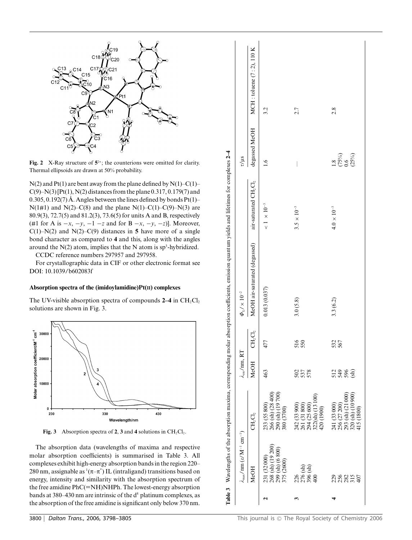

**Fig. 2** X-Ray structure of  $5^{2+}$ ; the counterions were omitted for clarity. Thermal ellipsoids are drawn at 50% probability.

 $N(2)$  and  $Pt(1)$  are bent away from the plane defined by  $N(1)-C(1)$ –  $C(9)$ –N(3) [Pt(1), N(2) distances from the plane 0.317, 0.179(7) and 0.305, 0.192(7) Å. Angles between the lines defined by bonds  $Pt(1)$ – N(1#1) and N(2)–C(8) and the plane N(1)–C(1)–C(9)–N(3) are 80.9(3), 72.7(5) and 81.2(3), 73.6(5) for units A and B, respectively (#1 for A is −*x*, −*y*, −1 −*z* and for B −*x*, −*y*, −*z*)]. Moreover, C(1)–N(2) and N(2)–C(9) distances in 5 have more of a single bond character as compared to **4** and this, along with the angles around the  $N(2)$  atom, implies that the N atom is  $sp<sup>3</sup>$ -hybridized.

CCDC reference numbers 297957 and 297958.

For crystallographic data in CIF or other electronic format see DOI: 10.1039/b602083f

#### **Absorption spectra of the (imidoylamidine)Pt(II) complexes**

The UV-visible absorption spectra of compounds  $2-4$  in  $CH_2Cl_2$ solutions are shown in Fig. 3.



**Fig. 3** Absorption spectra of **2**, **3** and **4** solutions in  $CH_2Cl_2$ .

The absorption data (wavelengths of maxima and respective molar absorption coefficients) is summarised in Table 3. All complexes exhibit high-energy absorption bands in the region 220– 280 nm, assignable as  $(\pi-\pi^*)$  IL (intraligand) transitions based on energy, intensity and similarity with the absorption spectrum of the free amidine PhC(=NH)NHPh. The lowest-energy absorption bands at 380–430 nm are intrinsic of the d<sup>8</sup> platinum complexes, as the absorption of the free amidine is significant only below 370 nm.

|                                                                                   | <b>MeOH</b>                                   |                                                                     | 276 (sh)<br>396 (sh)<br>400<br>226                                                       | 25825<br>407                                                                       |
|-----------------------------------------------------------------------------------|-----------------------------------------------|---------------------------------------------------------------------|------------------------------------------------------------------------------------------|------------------------------------------------------------------------------------|
| $\lambda_{\text{max}}/\text{nm}$ ( $\varepsilon/\text{M}^{-1}$ cm <sup>-1</sup> ) |                                               | 268 (sh) (19 200)<br>299 (sh) (6 800)<br>375 (2600)<br>231 (32000)  |                                                                                          |                                                                                    |
|                                                                                   | CH,CI,                                        | 266 (sh) (28 400)<br>290 (sh) (19 700)<br>233 (55800)<br>380 (3700) | $322(\text{sh}) (13100)$<br>$420 (1900)$<br>294 (25 600)<br>242 (33 900)<br>261 (31 800) | 256 (27200)<br>293 (sh) (21 000)<br>320 (sh) (10 900)<br>241 (33000)<br>415 (1800) |
| $\lambda_{em}/nm$ , RT                                                            | <b>MeOH</b>                                   | 463                                                                 | 587<br>578                                                                               | 2389                                                                               |
|                                                                                   | $\mathrm{CH}_2\mathrm{Cl}_2$                  | 477                                                                 | 516<br>550                                                                               | 532<br>567                                                                         |
| $\varPhi_{\mbox{\tiny L}}/\times\,10^{-2}$                                        | MeOH air-saturated (degassed)                 | 0.013(0.037)                                                        | 3.0(5.8)                                                                                 | 3.3(6.2)                                                                           |
|                                                                                   | air-saturated CH <sub>2</sub> Cl <sub>2</sub> | $< 1\,\times 10^{-3}$                                               | $3.5\times10^{-3}$                                                                       | $4.0 \times 10^{-3}$                                                               |
| $\frac{1}{2}$ us                                                                  | degassed MeOH                                 | $\leq$                                                              | $\overline{\phantom{a}}$                                                                 | $(75%)$<br>0.6<br>(25%)<br>$\frac{8}{1}$                                           |
|                                                                                   | MCH: toluene $(7:2)$ , 110 K                  | 3.2                                                                 | 2.7                                                                                      | 2.8                                                                                |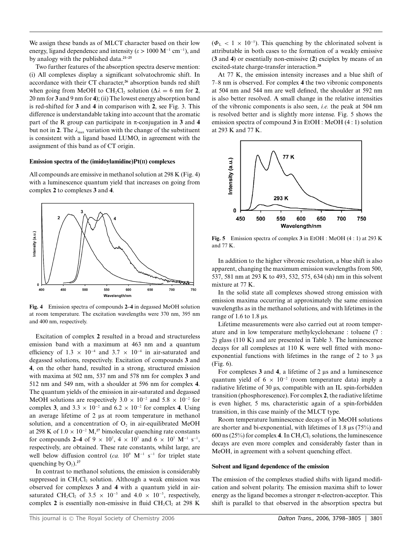We assign these bands as of MLCT character based on their low energy, ligand dependence and intensity ( $\varepsilon > 1000 \text{ M}^{-1} \text{ cm}^{-1}$ ), and by analogy with the published data.**21–25**

Two further features of the absorption spectra deserve mention: (i) All complexes display a significant solvatochromic shift. In accordance with their CT character,**<sup>26</sup>** absorption bands red shift when going from MeOH to CH<sub>2</sub>Cl<sub>2</sub> solution ( $\Delta \lambda = 6$  nm for **2**, 20 nm for **3** and 9 nm for **4**); (ii) The lowest energy absorption band is red-shifted for **3** and **4** in comparison with **2**, see Fig. 3. This difference is understandable taking into account that the aromatic part of the R group can participate in  $\pi$ -conjugation in 3 and 4 but not in 2. The  $\lambda_{\text{max}}$  variation with the change of the substituent is consistent with a ligand based LUMO, in agreement with the assignment of this band as of CT origin.

#### **Emission spectra of the (imidoylamidine)Pt(II) complexes**

All compounds are emissive in methanol solution at 298 K (Fig. 4) with a luminescence quantum yield that increases on going from complex **2** to complexes **3** and **4**.



**Fig. 4** Emission spectra of compounds **2–4** in degassed MeOH solution at room temperature. The excitation wavelengths were 370 nm, 395 nm and 400 nm, respectively.

Excitation of complex **2** resulted in a broad and structureless emission band with a maximum at 463 nm and a quantum efficiency of 1.3 × 10<sup>-4</sup> and 3.7 × 10<sup>-4</sup> in air-saturated and degassed solutions, respectively. Excitation of compounds **3** and **4**, on the other hand, resulted in a strong, structured emission with maxima at 502 nm, 537 nm and 578 nm for complex **3** and 512 nm and 549 nm, with a shoulder at 596 nm for complex **4**. The quantum yields of the emission in air-saturated and degassed MeOH solutions are respectively  $3.0 \times 10^{-2}$  and  $5.8 \times 10^{-2}$  for complex **3**, and  $3.3 \times 10^{-2}$  and  $6.2 \times 10^{-2}$  for complex **4**. Using an average lifetime of  $2 \mu s$  at room temperature in methanol solution, and a concentration of  $O<sub>2</sub>$  in air-equilibrated MeOH at 298 K of 1.0 × 10−<sup>2</sup> M,**<sup>27</sup>** bimolecular quenching rate constants for compounds **2–4** of  $9 \times 10^7$ ,  $4 \times 10^7$  and  $6 \times 10^7$  M<sup>-1</sup> s<sup>-1</sup>, respectively, are obtained. These rate constants, whilst large, are well below diffusion control (*ca.* 10<sup>9</sup> M<sup>-1</sup> s<sup>-1</sup> for triplet state quenching by  $O_2$ ).<sup>27</sup>

In contrast to methanol solutions, the emission is considerably suppressed in  $CH<sub>2</sub>Cl<sub>2</sub>$  solution. Although a weak emission was observed for complexes **3** and **4** with a quantum yield in airsaturated CH<sub>2</sub>Cl<sub>2</sub> of 3.5  $\times$  10<sup>-5</sup> and 4.0  $\times$  10<sup>-5</sup>, respectively, complex 2 is essentially non-emissive in fluid CH<sub>2</sub>Cl<sub>2</sub> at 298 K

 $(\Phi_L < 1 \times 10^{-5})$ . This quenching by the chlorinated solvent is attributable in both cases to the formation of a weakly emissive (**3** and **4**) or essentially non-emissive (**2**) exciplex by means of an excited-state charge-transfer interaction.**<sup>28</sup>**

At 77 K, the emission intensity increases and a blue shift of 7–8 nm is observed. For complex **4** the two vibronic components at 504 nm and 544 nm are well defined, the shoulder at 592 nm is also better resolved. A small change in the relative intensities of the vibronic components is also seen, *i.e.* the peak at 504 nm is resolved better and is slightly more intense. Fig. 5 shows the emission spectra of compound **3** in EtOH : MeOH (4 : 1) solution at 293 K and 77 K.



**Fig. 5** Emission spectra of complex **3** in EtOH : MeOH (4 : 1) at 293 K and 77 K.

In addition to the higher vibronic resolution, a blue shift is also apparent, changing the maximum emission wavelengths from 500, 537, 581 nm at 293 K to 493, 532, 575, 634 (sh) nm in this solvent mixture at 77 K.

In the solid state all complexes showed strong emission with emission maxima occurring at approximately the same emission wavelengths as in the methanol solutions, and with lifetimes in the range of 1.6 to 1.8  $\mu$ s.

Lifetime measurements were also carried out at room temperature and in low temperature methylcyclohexane : toluene (7 : 2) glass (110 K) and are presented in Table 3. The luminescence decays for all complexes at 110 K were well fitted with monoexponential functions with lifetimes in the range of 2 to 3  $\mu$ s (Fig. 6).

For complexes  $3$  and  $4$ , a lifetime of  $2 \mu s$  and a luminescence quantum yield of 6  $\times$  10<sup>-2</sup> (room temperature data) imply a radiative lifetime of 30 µs, compatible with an IL spin-forbidden transition (phosphorescence). For complex **2**, the radiative lifetime is even higher, 5 ms, characteristic again of a spin-forbidden transition, in this case mainly of the MLCT type.

Room temperature luminescence decays of in MeOH solutions are shorter and bi-exponential, with lifetimes of 1.8  $\mu$ s (75%) and 600 ns ( $25\%$ ) for complex **4**. In CH<sub>2</sub>Cl<sub>2</sub> solutions, the luminescence decays are even more complex and considerably faster than in MeOH, in agreement with a solvent quenching effect.

#### **Solvent and ligand dependence of the emission**

The emission of the complexes studied shifts with ligand modification and solvent polarity. The emission maxima shift to lower energy as the ligand becomes a stronger  $\pi$ -electron-acceptor. This shift is parallel to that observed in the absorption spectra but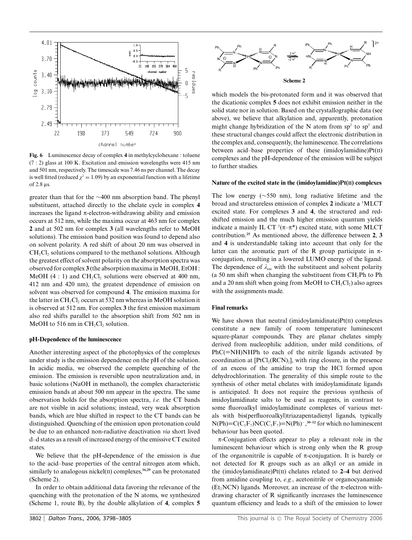

**Fig. 6** Luminescence decay of complex **4** in methylcyclohexane : toluene (7 : 2) glass at 100 K. Excitation and emission wavelengths were 415 nm and 501 nm, respectively. The timescale was 7.46 ns per channel. The decay is well fitted (reduced  $\chi^2 = 1.09$ ) by an exponential function with a lifetime of  $2.8 \mu s$ .

greater than that for the ∼400 nm absorption band. The phenyl substituent, attached directly to the chelate cycle in complex **4** increases the ligand  $\pi$ -electron-withdrawing ability and emission occurs at 512 nm, while the maxima occur at 463 nm for complex **2** and at 502 nm for complex **3** (all wavelengths refer to MeOH solutions). The emission band position was found to depend also on solvent polarity. A red shift of about 20 nm was observed in  $CH<sub>2</sub>Cl<sub>2</sub>$  solutions compared to the methanol solutions. Although the greatest effect of solvent polarity on the absorption spectra was observed for complex **3** (the absorption maxima in MeOH, EtOH : MeOH (4 : 1) and  $CH_2Cl_2$  solutions were observed at 400 nm, 412 nm and 420 nm), the greatest dependence of emission on solvent was observed for compound **4**. The emission maxima for the latter in  $CH_2Cl_2$  occurs at 532 nm whereas in MeOH solution it is observed at 512 nm. For complex **3** the first emission maximum also red shifts parallel to the absorption shift from 502 nm in MeOH to 516 nm in  $CH<sub>2</sub>Cl<sub>2</sub>$  solution.

#### **pH-Dependence of the luminescence**

Another interesting aspect of the photophysics of the complexes under study is the emission dependence on the pH of the solution. In acidic media, we observed the complete quenching of the emission. The emission is reversible upon neutralization and, in basic solutions (NaOH in methanol), the complex characteristic emission bands at about 500 nm appear in the spectra. The same observation holds for the absorption spectra, *i.e.* the CT bands are not visible in acid solutions; instead, very weak absorption bands, which are blue shifted in respect to the CT bands can be distinguished. Quenching of the emission upon protonation could be due to an enhanced non-radiative deactivation *via* short lived d–d states as a result of increased energy of the emissive CT excited states.

We believe that the pH-dependence of the emission is due to the acid–base properties of the central nitrogen atom which, similarly to analogous nickel(II) complexes,<sup>16,29</sup> can be protonated (Scheme 2).

In order to obtain additional data favoring the relevance of the quenching with the protonation of the N atoms, we synthesized (Scheme 1, route B), by the double alkylation of **4**, complex **5**



which models the bis-protonated form and it was observed that the dicationic complex **5** does not exhibit emission neither in the solid state nor in solution. Based on the crystallographic data (see above), we believe that alkylation and, apparently, protonation might change hybridization of the N atom from  $sp^2$  to  $sp^3$  and these structural changes could affect the electronic distribution in the complex and, consequently, the luminescence. The correlations between acid–base properties of these (imidoylamidine) $Pt(II)$ complexes and the pH-dependence of the emission will be subject to further studies.

#### **Nature of the excited state in the (imidoylamidine)Pt(II) complexes**

The low energy (∼550 nm), long radiative lifetime and the broad and structureless emission of complex **2** indicate a <sup>3</sup> MLCT excited state. For complexes **3** and **4**, the structured and redshifted emission and the much higher emission quantum yields indicate a mainly IL CT  $(7-\pi^*)$  excited state, with some MLCT contribution.**<sup>25</sup>** As mentioned above, the difference between **2**, **3** and **4** is understandable taking into account that only for the latter can the aromatic part of the R group participate in  $\pi$ conjugation, resulting in a lowered LUMO energy of the ligand. The dependence of  $\lambda_{\text{em}}$  with the substituent and solvent polarity (a 50 nm shift when changing the substituent from  $CH<sub>2</sub>Ph$  to Ph and a 20 nm shift when going from MeOH to  $CH_2Cl_2$ ) also agrees with the assignments made.

#### **Final remarks**

We have shown that neutral (imidoylamidinate)Pt(II) complexes constitute a new family of room temperature luminescent square-planar compounds. They are planar chelates simply derived from nucleophilic addition, under mild conditions, of  $PhC(=\text{NH})$ NHPh to each of the nitrile ligands activated by coordination at  $[PtCl_2(RCN)_2]$ , with ring closure, in the presence of an excess of the amidine to trap the HCl formed upon dehydrochlorination. The generality of this simple route to the synthesis of other metal chelates with imidoylamidinate ligands is anticipated. It does not require the previous synthesis of imidoylamidinate salts to be used as reagents, in contrast to some fluoroalkyl imidoylamidinate complexes of various metals with bis(perfluoroalkyl)triazapentadienyl ligands, typically  $N(Ph) = C(C_3F_7)NC(C_3F_7) = N(Ph)^{-30-32}$  for which no luminescent behaviour has been quoted.

 $\pi$ -Conjugation effects appear to play a relevant role in the luminescent behaviour which is strong only when the R group of the organonitrile is capable of  $\pi$ -conjugation. It is barely or not detected for R groups such as an alkyl or an amide in the (imidoylamidinate)Pt(II) chelates related to **2–4** but derived from amidine coupling to, *e.g.*, acetonitrile or organocyanamide (Et<sub>2</sub>NCN) ligands. Moreover, an increase of the  $\pi$ -electron withdrawing character of R significantly increases the luminescence quantum efficiency and leads to a shift of the emission to lower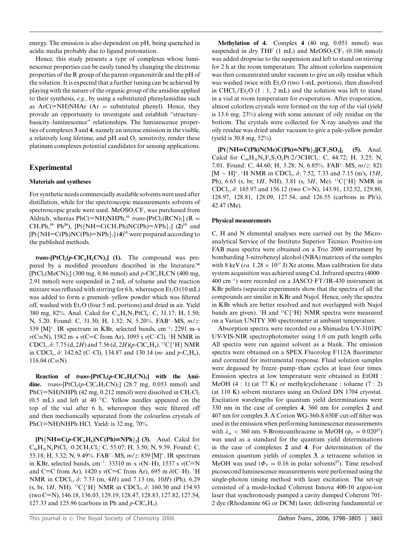energy. The emission is also dependent on pH, being quenched in acidic media probably due to ligand protonation.

Hence, this study presents a type of complexes whose luminescence properties can be easily tuned by changing the electronic properties of the R group of the parent organonitrile and the pH of the solution. It is expected that a further tuning can be achieved by playing with the nature of the organic group of the amidine applied to their synthesis, *e.g.*, by using a substituted phenylamidine such as  $ArC(=\text{NH})N\text{HAr}$  (Ar = substituted phenyl). Hence, they provide an opportunity to investigate and establish "structure– basicity–luminescence" relationships. The luminescence properties of complexes **3** and **4**, namely an intense emission in the visible, a relatively long lifetime, and  $pH$  and  $O_2$  sensitivity, render these platinum complexes potential candidates for sensing applications.

## **Experimental**

### **Materials and syntheses**

For synthetic needs commercially available solvents were used after distillation, while for the spectroscopic measurements solvents of spectroscopic grade were used. MeOSO<sub>2</sub>CF<sub>3</sub> was purchased from Aldrich, whereas PhC(=NH)NHPh,<sup>33</sup> *trans*-[PtCl<sub>2</sub>(RCN)<sub>2</sub>] (R =  $CH_2Ph,^{19} Ph^{20}$ ,  $Pt\{NH=C(CH_2Ph)NC(Ph)=NPh\}_2$  (2)<sup>15</sup> and [Pt{NH=C(Ph)NC(Ph)=NPh}2] (**4**) **<sup>15</sup>** were prepared according to the published methods.

 $trans$ **-[PtCl<sub>2</sub>(** $p$ **-ClC<sub>6</sub>H<sub>4</sub>CN)<sub>2</sub>] (1).** The compound was prepared by a modified procedure described in the literature.**<sup>34</sup>**  $[PtCl<sub>2</sub>(MeCN)<sub>2</sub>]$  (300 mg, 0.86 mmol) and *p*-ClC<sub>6</sub>H<sub>4</sub>CN (400 mg, 2.91 mmol) were suspended in 2 mL of toluene and the reaction mixture was refluxed with stirring for 6 h, whereupon  $Et_2O(10 \text{ mL})$ was added to form a greenish–yellow powder which was filtered off, washed with  $Et<sub>2</sub>O$  (four 5 mL portions) and dried in air. Yield 380 mg, 82%. Anal. Calcd for C14H8N2PtCl4: C, 31.17; H, 1.50; N, 5.20. Found: C, 31.30; H, 1.52; N, 5.20%. FAB+–MS, *m*/*z*: 539 [M]+. IR spectrum in KBr, selected bands, cm−<sup>1</sup> : 2291 m–s *m*(C≡N), 1582 m–s *v*(C=C from Ar), 1095 s *v*(C–Cl). <sup>1</sup>H NMR in  $CDCl_3$ ,  $\delta$ : 7.75 (d, 2*H*) and 7.56 (d, 2*H*)(*p*-ClC<sub>6</sub>H<sub>4</sub>). <sup>13</sup>C{<sup>1</sup>H} NMR in CDCl<sub>3</sub>,  $\delta$ : 142.62 (C–Cl), 134.87 and 130.14 (*m*- and *p*-C<sub>6</sub>H<sub>4</sub>), 116.04 (C≡N).

**Reaction** of *trans***-**[PtCl<sub>2</sub>( $p$ **-ClC**<sub>6</sub>H<sub>4</sub>CN)<sub>2</sub>] with the Ami**dine.** *trans*-[PtCl<sub>2</sub>( $p$ -ClC<sub>6</sub>H<sub>4</sub>CN)<sub>2</sub>] (28.7 mg, 0.053 mmol) and PhC(=NH)NHPh (42 mg, 0.212 mmol) were dissolved in  $CH_2Cl_2$ (0.5 mL) and left at 40 *◦*C. Yellow needles appeared on the top of the vial after 6 h, whereupon they were filtered off and then mechanically separated from the colourless crystals of PhC(=NH)NHPh·HCl. Yield: is 32 mg, 70%.

 $[Pt{NH = C(p-ClC_6H_4)NC(Ph)=NPh}$ <sub>2</sub>] (3). Anal. Calcd for  $C_{40}H_{30}N_6PtCl_2 \cdot 0.2CH_2Cl_2$ : C, 55.07; H, 3.50; N, 9.59. Found: C, 55.18; H, 3.32; N, 9.49%. FAB+–MS, *m*/*z*: 859 [M]+. IR spectrum in KBr, selected bands, cm−<sup>1</sup> : 33310 m–s *m*(N–H), 1537 s *m*(C=N and C=C from Ar), 1420 s *v*(C=C from Ar), 695 m  $\delta$ (C–H). <sup>1</sup>H NMR in CDCl3, *d*: 7.33 (m, 4*H*) and 7.13 (m, 10*H*) (Ph), 6.29 (s, br, 1*H*, NH). <sup>13</sup>C{<sup>1</sup>H} NMR in CDCl<sub>3</sub>,  $\delta$ : 160.50 and 154.93 (two C=N), 146.18, 136.03, 129.19, 128.47, 128.83, 127.82, 127.54, 127.33 and 125.96 (carbons in Ph and  $p$ -ClC<sub>6</sub>H<sub>4</sub>).

**Methylation of 4.** Complex **4** (40 mg, 0.051 mmol) was suspended in dry THF  $(1 \text{ mL})$  and MeOSO<sub>2</sub>CF<sub>3</sub>  $(0.106 \text{ mmol})$ was added dropwise to the suspension and left to stand on stirring for 2 h at the room temperature. The almost colorless suspension was then concentrated under vacuum to give an oily residue which was washed twice with  $Et<sub>2</sub>O$  (two 1-mL portions), then dissolved in CHCl<sub>3</sub>/Et<sub>2</sub>O (1 : 1, 2 mL) and the solution was left to stand in a vial at room temperature for evaporation. After evaporation, almost colorless crystals were formed on the top of the vial (yield is 13.6 mg, 23%) along with some amount of oily residue on the bottom. The crystals were collected for X-ray analysis and the oily residue was dried under vacuum to give a pale-yellow powder (yield is 30.8 mg, 52%).

 $[Pt{NH = C(Ph)N(Me)C(Ph) = NPh}_{2}][CF_{3}SO_{3}]_{2}$  (5). Anal. Calcd for  $C_{44}H_{38}N_6F_6S_2O_6Pt$  2/3CHCl<sub>3</sub>: C, 44.72; H, 3.25; N, 7.01. Found: C, 44.60; H, 3.28; N, 6.85%. FAB+–MS, *m*/*z*: 821 [M − H]+. <sup>1</sup> H NMR in CDCl3, *d*: 7.52, 7.33 and 7.15 (m's, 15*H*, Ph), 6.65 (s, br, 1*H*, NH), 3.81 (s, 3*H*, Me). 13C{<sup>1</sup> H} NMR in CDCl3, *d*: 165.97 and 156.12 (two C=N), 143.91, 132.52, 129.80, 128.97, 128.81, 128.09, 127.54, and 126.55 (carbons in Ph's), 42.47 (Me).

#### **Physical measurements**

C, H and N elemental analyses were carried out by the Microanalytical Service of the Instituto Superior Técnico. Positive-ion FAB mass spectra were obtained on a Trio 2000 instrument by bombarding 3-nitrobenzyl alcohol (NBA) matrices of the samples with 8 keV (*ca.*  $1.28 \times 10^{15}$  J) Xe atoms. Mass calibration for data system acquisition was achieved using CsI. Infrared spectra (4000– 400 cm−<sup>1</sup> ) were recorded on a JASCO FT/IR-430 instrument in KBr pellets (separate experiments show that the spectra of all the compounds are similar in KBr and Nujol. Hence, only the spectra in KBr which are better resolved and not overlapped with Nujol bands are given). <sup>1</sup>H and <sup>13</sup>C{<sup>1</sup>H} NMR spectra were measured on a Varian UNITY 300 spectrometer at ambient temperature.

Absorption spectra were recorded on a Shimadzu UV-3101PC UV-VIS-NIR spectrophotometer using 1.0 cm path length cells. All spectra were run against solvent as a blank. The emission spectra were obtained on a SPEX Fluorolog F112A fluorimeter and corrected for instrumental response. Fluid solution samples were degassed by freeze–pump–thaw cycles at least four times. Emission spectra at low temperature were obtained in EtOH : MeOH (4 : 1) (at 77 K) or methylcyclohexane : toluene (7 : 2) (at 110 K) solvent mixtures using an Oxford DN 1704 cryostat. Excitation wavelengths for quantum yield determinations were 330 nm in the case of complex **4**, 360 nm for complex **2** and 407 nm for complex **3**. A Corion WG-360-S 650F cut-off filter was used in the emission when performing luminescence measurements with  $\lambda_{\text{ex}} < 360$  nm. 9-Bromoanthracene in MeOH ( $\phi_F = 0.020^{27}$ ) was used as a standard for the quantum yield determinations in the case of complexes **2** and **4**. For determination of the emission quantum yields of complex **3**, a tetracene solution in MeOH was used ( $\Phi_F = 0.16$  in polar solvents<sup>27</sup>). Time resolved picosecond luminescence measurements were performed using the single-photon timing method with laser excitation. The set-up consisted of a mode-locked Coherent Innova 400-10 argon-ion laser that synchronously pumped a cavity dumped Coherent 701- 2 dye (Rhodamine 6G or DCM) laser, delivering fundamental or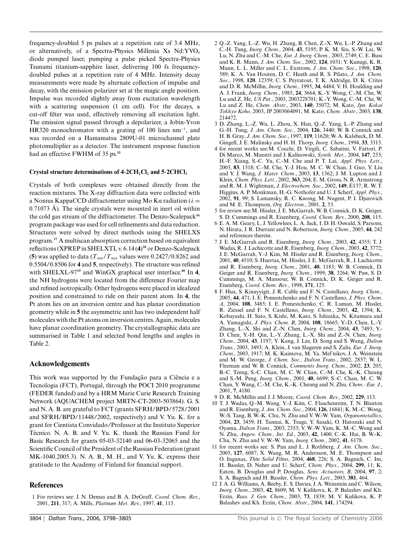frequency-doubled 5 ps pulses at a repetition rate of 3.4 MHz, or alternatively, of a Spectra-Physics Millenia Xs Nd:YVO<sub>4</sub> diode pumped laser, pumping a pulse picked Spectra-Physics Tsunami titanium-sapphire laser, delivering 100 fs frequencydoubled pulses at a repetition rate of 4 MHz. Intensity decay measurements were made by alternate collection of impulse and decay, with the emission polarizer set at the magic angle position. Impulse was recorded slightly away from excitation wavelength with a scattering suspension (1 cm cell). For the decays, a cut-off filter was used, effectively removing all excitation light. The emission signal passed through a depolarizer, a Jobin-Yvon HR320 monochromator with a grating of 100 lines nm−<sup>1</sup> , and was recorded on a Hamamatsu 2809U-01 microchannel plate photomultiplier as a detector. The instrument response function had an effective FWHM of 35 ps.**<sup>35</sup>**

#### **Crystal structure determinations of 4** $\cdot$  **<b>2CH<sub>2</sub>Cl<sub>2</sub>** and 5 $\cdot$  **2CHCl<sub>3</sub>**

Crystals of both complexes were obtained directly from the reaction mixtures. The X-ray diffraction data were collected with a Nonius KappaCCD diffractometer using Mo K $\alpha$  radiation ( $\lambda =$  $0.71073$  Å). The single crystals were mounted in inert oil within the cold gas stream of the diffractometer. The Denzo-Scalepack**<sup>36</sup>** program package was used for cell refinements and data reduction. Structures were solved by direct methods using the SHELXS program.**<sup>37</sup>** A multiscan absorption correction based on equivalent reflections (XPREP in SHELXTL v. 6.14 (**4**) **<sup>38</sup>** or Denzo-Scalepack (5) was applied to data ( $T_{\text{min}}/T_{\text{max}}$  values were 0.2427/0.8262 and 0.5504/0.8506 for **4** and **5**, respectively). The structure was refined with SHELXL-97**<sup>39</sup>** and WinGX graphical user interface.**<sup>40</sup>** In **4**, the NH hydrogens were located from the difference Fourier map and refined isotropically. Other hydrogens were placed in idealized position and constrained to ride on their parent atom. In **4**, the Pt atom lies on an inversion centre and has planar coordination geometry while in **5** the asymmetric unit has two independent half molecules with the Pt atoms on inversion centres. Again, molecules have planar coordination geometry. The crystallographic data are summarised in Table 1 and selected bond lengths and angles in Table 2.

#### **Acknowledgements**

This work was supported by the Fundação para a Ciência e a Tecnologia (FCT), Portugal, through the POCI 2010 programme (FEDER funded) and by a HRM Marie Curie Research Training Network (AQUACHEM project MRTN-CT-2003-503864). G. S. and N. A. B. are grateful to FCT (grants SFRH/BPD/5728/2001 and SFRH/BPD/11448/2002, respectively) and V. Yu. K. for a grant for Cientista Convidado/Professor at the Instituto Superior Técnico. N. A. B. and V. Yu. K. thank the Russian Fund for Basic Research for grants 05-03-32140 and 06-03-32065 and the Scientific Council of the President of the Russian Federation (grant MK-1040.2005.3). N. A. B., M. H., and V. Yu. K. express their gratitude to the Academy of Finland for financial support.

#### **References**

1 For reviews see: J. N. Demas and B. A. DeGraff, *Coord. Chem. Rev.*, 2001, **211**, 317; A. Mills, *Platinum Met. Rev.*, 1997, **41**, 115.

- 2 Q.-Z. Yang, L.-Z. Wu, H. Zhang, B. Chen, Z.-X. Wu, L.-P. Zhang and C.-H. Tung, *Inorg. Chem.*, 2004, **43**, 5195; P. K. M. Siu, S.-W. Lai, W. Lu, N. Zhu and C.-M. Che, *Eur. J. Inorg. Chem.*, 2003, 2749; C. E. Buss and K. R. Mann, *J. Am. Chem. Soc.*, 2002, **124**, 1031; Y. Kunugi, K. R. Mann, L. L. Miller and C. L. Exstrom, *J. Am. Chem. Soc.*, 1998, **120**, 589; K. A. Van Houten, D. C. Heath and R. S. Pilato, *J. Am. Chem. Soc.*, 1998, **120**, 12359; C. S. Peyratout, T. K. Aldridge, D. K. Crites and D. R. McMillin, *Inorg. Chem.*, 1995, **34**, 4484; V. H. Houlding and A. J. Frank, *Inorg. Chem.*, 1985, **24**, 3664; K.-Y. Wong, C.-M. Che, W. Lu and Z. He, *US Pat.*, 2003, 2003228701; K.-Y. Wong, C.-M. Che, W. Lu and Z. He, *Chem. Abstr.*, 2003, **140**, 35072; M. Kato, *Jpn. Kokai Tokkyo Koho*, 2003, JP 2003064091; M. Kato, *Chem. Abstr.*, 2003, **138**, 214472.
- 3 D. Zhang, L.-Z. Wu, L. Zhou, X. Han, Q.-Z. Yang, L.-P. Zhang and G.-H. Tung, *J. Am. Chem. Soc.*, 2004, **126**, 3440; W. B. Connick and H. B. Gray, *J. Am. Chem. Soc.*, 1997, **119**, 11620; W. A. Kalsbeck, D. M. Gingell, J. E. Malinsky and H. H. Thorp, *Inorg. Chem.*, 1994, **33**, 3313.
- 4 for recent works see:M. Cocchi, D. Virgili, C. Sabatini, V. Fattori, P. Di Marco, M. Maestri and J. Kalinowski, *Synth. Met.*, 2004, **147**, 253; H.-F. Xiang, S.-C. Yu, C.-M. Che and P. T. Lai, *Appl. Phys. Lett.*, 2003, **83**, 1518; C.-M. Che, Y.-J. Hou, M. C. W. Chan, J. Guo, Y. Liu and Y. J. Wang, *J. Mater. Chem.*, 2003, **13**, 1362; J. M. Lupton and J. Klein, *Chem. Phys. Lett.*, 2002, **363**, 204; E. M. Gross, N. R. Armstrong and R. M. J. Wightman, *J. Electrochem. Soc.*, 2002, **149**, E137; R. W. T. Higgins, A. P. Monkman, H.-G. Nothofer and U. J. Scherf, *Appl. Phys.*, 2002, **91**, 99; S. Lamansky, R. C. Kwong, M. Nugent, P. I. Djurovich and M. E. Thompson, *Org. Electron.*, 2001, **2**, 53.
- 5 for review see:M. Hissler, J. E. McGarrah, W. B. Connick, D. K. Geiger, S. D. Cummings and R. Eisenberg, *Coord. Chem. Rev.*, 2000, **208**, 115.
- 6 E. A. M. Geary, L. J. Yellowlees, L. A. Jack, I. D. H. Oswald, S. Parsons, N. Hirata, J. R. Durrant and N. Robertson, *Inorg. Chem.*, 2005, **44**, 242 and references therein.
- 7 J. E. McGarrah and R. Eisenberg, *Inorg. Chem.*, 2003, **42**, 4355; T. J. Wadas, R. J. Lachicotte and R. Eisenberg,*Inorg. Chem.*, 2003, **42**, 3772; J. E. McGarrah, Y.-J. Kim, M. Hissler and R. Eisenberg, *Inorg. Chem.*, 2001, **40**, 4510; S. Huertas, M. Hissler, J. E. McGarrah, R. J. Lachicotte and R. Eisenberg, *Inorg. Chem.*, 2001, **40**, 1183; W. B. Connick, D. Geiger and R. Eisenberg, *Inorg. Chem.*, 1999, **38**, 3264; W. Paw, S. D. Cummings, M. A. Mansour, W. B. Connick, D. K. Geiger and R. Eisenberg, *Coord. Chem. Rev.*, 1998, **171**, 125.
- 8 F. Hua, S. Kinayyigit, J. R. Cable and F. N. Castellano, *Inorg. Chem.*, 2005, **44**, 471; I. E. Pomestchenko and F. N. Castellano, *J. Phys. Chem. A*, 2004, **108**, 3485; I. E. Pomestchenko, C. R. Luman, M. Hissler, R. Ziessel and F. N. Castellano, *Inorg. Chem.*, 2003, **42**, 1394; K. Kobayashi, H. Sato, S. Kishi, M. Kato, S. Ishizaka, N. Kitamura and A. Yamagishi, *J. Phys. Chem. B*, 2004, **108**, 18665; Y.-D. Chen, L.-Y. Zhang, L.-X. Shi and Z.-N. Chen, *Inorg. Chem.*, 2004, **43**, 7493; Y.- D. Chen, Y.-H. Qin, L.-Y. Zhang, L.-X. Shi and Z.-N. Chen, *Inorg. Chem.*, 2004, **43**, 1197; Y. Kang, J. Lee, D. Song and S. Wang, *Dalton Trans.*, 2003, 3493; A. Klein, J. van Slageren and S. Zalis, *Eur. J. Inorg. Chem.*, 2003, 1917; M. K. Kuimova, M. Ya. Mel'nikov, J. A. Weinstein and M. W. George, *J. Chem. Soc., Dalton Trans.*, 2002, 2857; W. L. Fleeman and W. B. Connick, *Comments Inorg. Chem.*, 2002, **23**, 205; B.-C. Tzeng, S.-C. Chan, M. C. W. Chan, C.-M. Che, K.-K. Cheung and S.-M. Peng, *Inorg. Chem.*, 2001, **40**, 6699; S.-C. Chan, M. C. W. Chan, Y. Wang, C.-M. Che, K.-K. Cheung and N. Zhu, *Chem.–Eur. J.*, 2001, **7**, 4180.
- 9 D. R. McMillin and J. J. Moore, *Coord. Chem. Rev.*, 2002, **229**, 113.
- 10 T. J. Wadas, Q.-M. Wang, Y.-J. Kim, C. Flaschenreim, T. N. Blanton and R. Eisenberg, *J. Am. Chem. Soc.*, 2004, **126**, 16841; K. M.-C. Wong, W.-S. Tang, B. W.-K. Chu, N. Zhu and V. W.-W. Yam, *Organometallics*, 2004, **23**, 3459; H. Tannai, K. Tsuge, Y. Sasaki, O. Hatozaki and N. Oyama, *Dalton Trans.*, 2003, 2353; V. W.-W. Yam, K. M.-C. Wong and N. Zhu, *Angew. Chem., Int. Ed.*, 2003, **42**, 1400; C.-K. Hui, B. W.-K. Chu, N. Zhu and V. W.-W. Yam, *Inorg. Chem.*, 2002, **41**, 6178.
- 11 for recent works see: S. Pan and L. J. Rothberg, *J. Am. Chem. Soc.*, 2005, **127**, 6087; X. Wang, M. R. Andersson, M. E. Thompson and O. Inganas, *Thin Solid Films*, 2004, **468**, 226; S. A. Bagnich, C. Im, H. Bassler, D. Neher and U. Scherf, *Chem. Phys.*, 2004, **299**, 11; K. Eaton, B. Douglas and P. Douglas, *Sens. Actuators, B*, 2004, **97**, 2; S. A. Bagnich and H. Bassler, *Chem. Phys. Lett.*, 2003, **381**, 464.
- 12 J. A. G. Williams, A. Beeby, E. S. Davies, J. A. Weinstein and C. Wilson, *Inorg. Chem.*, 2003, **42**, 8609; M. V. Kulikova, K. P. Balashev and Kh. Erzin, *Russ. J. Gen. Chem.*, 2003, **73**, 1839; M. V. Kulikova, K. P. Balashev and Kh. Erzin, *Chem. Abstr.*, 2004, **141**, 174294.